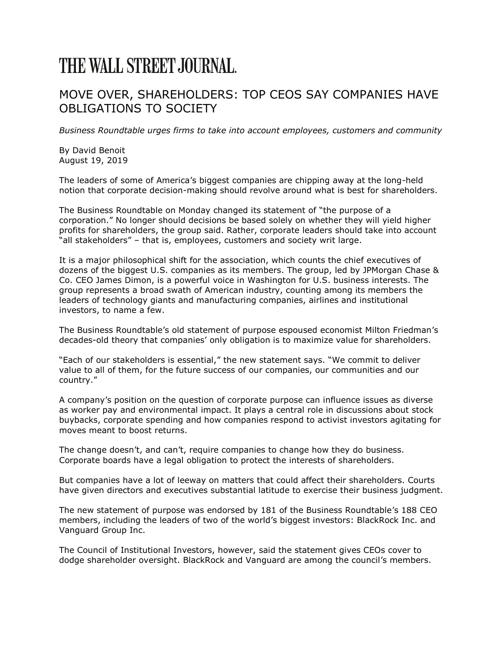## THE WALL STREET JOURNAL.

## MOVE OVER, SHAREHOLDERS: TOP CEOS SAY COMPANIES HAVE OBLIGATIONS TO SOCIETY

*Business Roundtable urges firms to take into account employees, customers and community*

By David Benoit August 19, 2019

The leaders of some of America's biggest companies are chipping away at the long-held notion that corporate decision-making should revolve around what is best for shareholders.

The Business Roundtable on Monday changed its statement of "the purpose of a corporation." No longer should decisions be based solely on whether they will yield higher profits for shareholders, the group said. Rather, corporate leaders should take into account "all stakeholders" – that is, employees, customers and society writ large.

It is a major philosophical shift for the association, which counts the chief executives of dozens of the biggest U.S. companies as its members. The group, led by JPMorgan Chase & Co. CEO James Dimon, is a powerful voice in Washington for U.S. business interests. The group represents a broad swath of American industry, counting among its members the leaders of technology giants and manufacturing companies, airlines and institutional investors, to name a few.

The Business Roundtable's old statement of purpose espoused economist Milton Friedman's decades-old theory that companies' only obligation is to maximize value for shareholders.

"Each of our stakeholders is essential," the new statement says. "We commit to deliver value to all of them, for the future success of our companies, our communities and our country."

A company's position on the question of corporate purpose can influence issues as diverse as worker pay and environmental impact. It plays a central role in discussions about stock buybacks, corporate spending and how companies respond to activist investors agitating for moves meant to boost returns.

The change doesn't, and can't, require companies to change how they do business. Corporate boards have a legal obligation to protect the interests of shareholders.

But companies have a lot of leeway on matters that could affect their shareholders. Courts have given directors and executives substantial latitude to exercise their business judgment.

The new statement of purpose was endorsed by 181 of the Business Roundtable's 188 CEO members, including the leaders of two of the world's biggest investors: BlackRock Inc. and Vanguard Group Inc.

The Council of Institutional Investors, however, said the statement gives CEOs cover to dodge shareholder oversight. BlackRock and Vanguard are among the council's members.